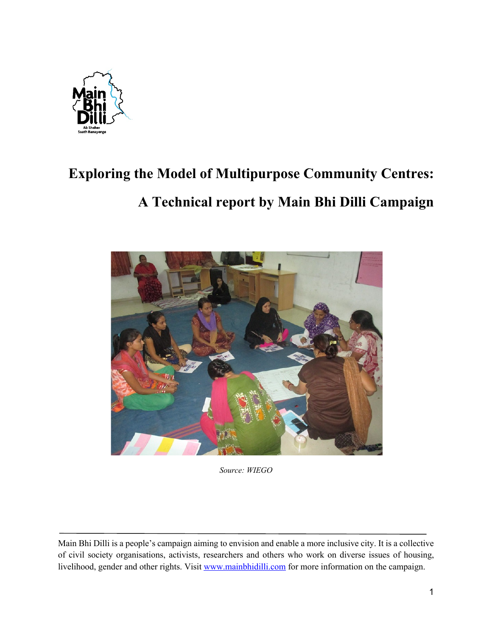

# **Exploring the Model of Multipurpose Community Centres:**

## **A Technical report by Main Bhi Dilli Campaign**



*Source: WIEGO* 

Main Bhi Dilli is a people's campaign aiming to envision and enable a more inclusive city. It is a collective of civil society organisations, activists, researchers and others who work on diverse issues of housing, livelihood, gender and other rights. Visit www.mainbhidilli.com for more information on the campaign.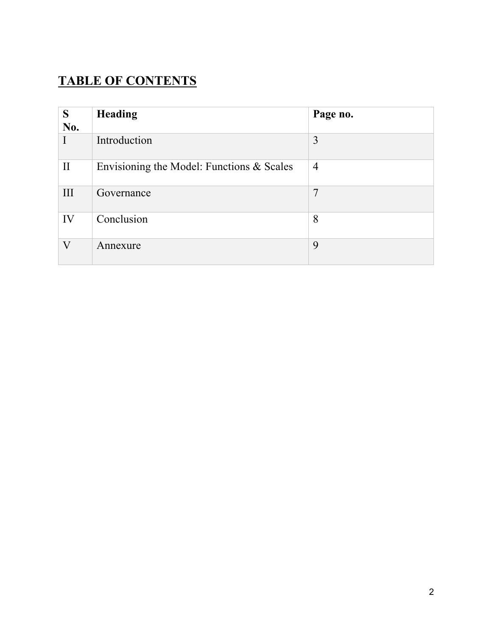### **TABLE OF CONTENTS**

| S            | <b>Heading</b>                            | Page no.       |
|--------------|-------------------------------------------|----------------|
| No.          |                                           |                |
|              | Introduction                              | 3              |
| $\mathbf{I}$ | Envisioning the Model: Functions & Scales | $\overline{4}$ |
| III          | Governance                                | 7              |
| IV           | Conclusion                                | 8              |
| $\rm V$      | Annexure                                  | 9              |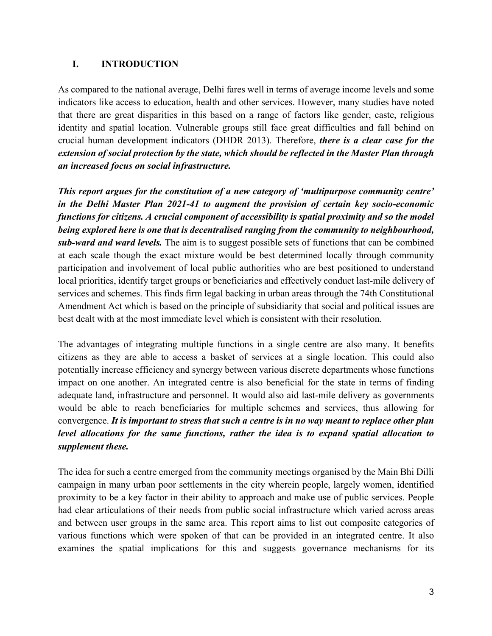#### **I. INTRODUCTION**

As compared to the national average, Delhi fares well in terms of average income levels and some indicators like access to education, health and other services. However, many studies have noted that there are great disparities in this based on a range of factors like gender, caste, religious identity and spatial location. Vulnerable groups still face great difficulties and fall behind on crucial human development indicators (DHDR 2013). Therefore, *there is a clear case for the extension of social protection by the state, which should be reflected in the Master Plan through an increased focus on social infrastructure.*

*This report argues for the constitution of a new category of 'multipurpose community centre' in the Delhi Master Plan 2021-41 to augment the provision of certain key socio-economic functions for citizens. A crucial component of accessibility is spatial proximity and so the model being explored here is one that is decentralised ranging from the community to neighbourhood, sub-ward and ward levels.* The aim is to suggest possible sets of functions that can be combined at each scale though the exact mixture would be best determined locally through community participation and involvement of local public authorities who are best positioned to understand local priorities, identify target groups or beneficiaries and effectively conduct last-mile delivery of services and schemes. This finds firm legal backing in urban areas through the 74th Constitutional Amendment Act which is based on the principle of subsidiarity that social and political issues are best dealt with at the most immediate level which is consistent with their resolution.

The advantages of integrating multiple functions in a single centre are also many. It benefits citizens as they are able to access a basket of services at a single location. This could also potentially increase efficiency and synergy between various discrete departments whose functions impact on one another. An integrated centre is also beneficial for the state in terms of finding adequate land, infrastructure and personnel. It would also aid last-mile delivery as governments would be able to reach beneficiaries for multiple schemes and services, thus allowing for convergence. *It is important to stress that such a centre is in no way meant to replace other plan level allocations for the same functions, rather the idea is to expand spatial allocation to supplement these.*

The idea for such a centre emerged from the community meetings organised by the Main Bhi Dilli campaign in many urban poor settlements in the city wherein people, largely women, identified proximity to be a key factor in their ability to approach and make use of public services. People had clear articulations of their needs from public social infrastructure which varied across areas and between user groups in the same area. This report aims to list out composite categories of various functions which were spoken of that can be provided in an integrated centre. It also examines the spatial implications for this and suggests governance mechanisms for its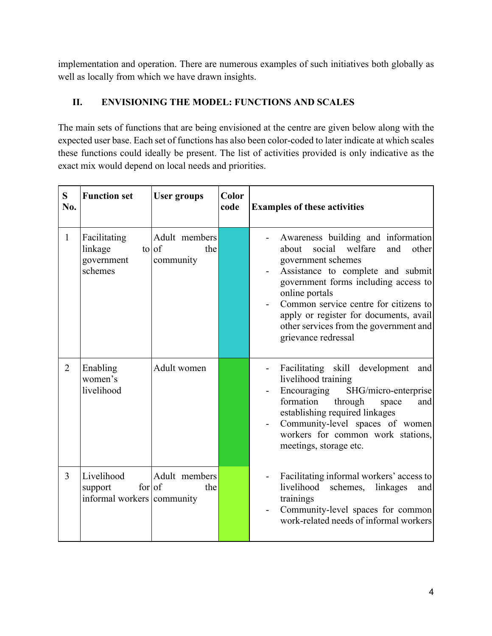implementation and operation. There are numerous examples of such initiatives both globally as well as locally from which we have drawn insights.

#### **II. ENVISIONING THE MODEL: FUNCTIONS AND SCALES**

The main sets of functions that are being envisioned at the centre are given below along with the expected user base. Each set of functions has also been color-coded to later indicate at which scales these functions could ideally be present. The list of activities provided is only indicative as the exact mix would depend on local needs and priorities.

| S<br>No.       | <b>Function set</b>                                           | <b>User groups</b>                                   | Color<br>code | <b>Examples of these activities</b>                                                                                                                                                                                                                                                                                                                       |
|----------------|---------------------------------------------------------------|------------------------------------------------------|---------------|-----------------------------------------------------------------------------------------------------------------------------------------------------------------------------------------------------------------------------------------------------------------------------------------------------------------------------------------------------------|
| $\mathbf{1}$   | Facilitating<br>linkage<br>government<br>schemes              | Adult members<br>$\frac{1}{\pi}$<br>the<br>community |               | Awareness building and information<br>social<br>welfare<br>about<br>and<br>other<br>government schemes<br>Assistance to complete and submit<br>government forms including access to<br>online portals<br>Common service centre for citizens to<br>apply or register for documents, avail<br>other services from the government and<br>grievance redressal |
| $\overline{2}$ | Enabling<br>women's<br>livelihood                             | Adult women                                          |               | Facilitating skill development<br>and<br>livelihood training<br>SHG/micro-enterprise<br>Encouraging<br>formation<br>through<br>space<br>and<br>establishing required linkages<br>Community-level spaces of women<br>workers for common work stations,<br>meetings, storage etc.                                                                           |
| $\overline{3}$ | Livelihood<br>for of<br>support<br>informal workers community | Adult members<br>the                                 |               | Facilitating informal workers' access to<br>livelihood<br>schemes,<br>linkages<br>and<br>trainings<br>Community-level spaces for common<br>work-related needs of informal workers                                                                                                                                                                         |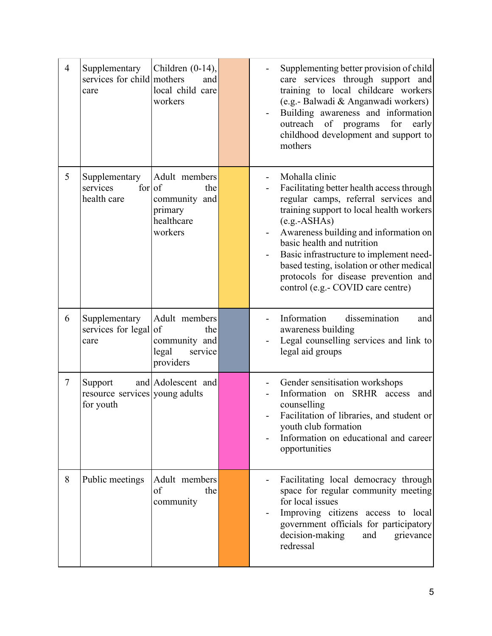| $\overline{4}$ | Supplementary<br>services for child mothers<br>care    | Children $(0-14)$ ,<br>and<br>local child care<br>workers                 | Supplementing better provision of child<br>care services through support and<br>training to local childcare workers<br>(e.g.- Balwadi & Anganwadi workers)<br>Building awareness and information<br>outreach<br>of programs<br>for<br>early<br>childhood development and support to<br>mothers                                                                                                                |
|----------------|--------------------------------------------------------|---------------------------------------------------------------------------|---------------------------------------------------------------------------------------------------------------------------------------------------------------------------------------------------------------------------------------------------------------------------------------------------------------------------------------------------------------------------------------------------------------|
| 5              | Supplementary<br>for   of<br>services<br>health care   | Adult members<br>the<br>community and<br>primary<br>healthcare<br>workers | Mohalla clinic<br>Facilitating better health access through<br>regular camps, referral services and<br>training support to local health workers<br>$(e.g.-ASHAS)$<br>Awareness building and information on<br>basic health and nutrition<br>Basic infrastructure to implement need-<br>based testing, isolation or other medical<br>protocols for disease prevention and<br>control (e.g.- COVID care centre) |
| 6              | Supplementary<br>services for legal of<br>care         | Adult members<br>the<br>community and<br>service<br>legal<br>providers    | Information<br>dissemination<br>and<br>awareness building<br>Legal counselling services and link to<br>legal aid groups                                                                                                                                                                                                                                                                                       |
| $\tau$         | Support<br>resource services young adults<br>for youth | and Adolescent and                                                        | Gender sensitisation workshops<br>on SRHR access<br>Information<br>and<br>counselling<br>Facilitation of libraries, and student or<br>youth club formation<br>Information on educational and career<br>opportunities                                                                                                                                                                                          |
| 8              | Public meetings                                        | Adult members<br>of<br>the<br>community                                   | Facilitating local democracy through<br>space for regular community meeting<br>for local issues<br>Improving citizens access to local<br>government officials for participatory<br>decision-making<br>and<br>grievance<br>redressal                                                                                                                                                                           |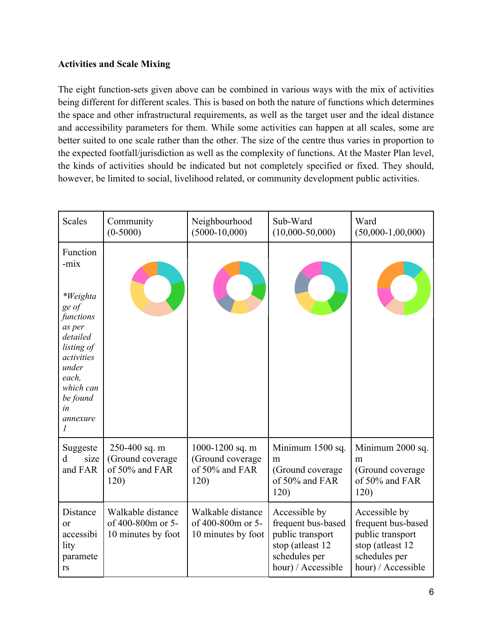#### **Activities and Scale Mixing**

The eight function-sets given above can be combined in various ways with the mix of activities being different for different scales. This is based on both the nature of functions which determines the space and other infrastructural requirements, as well as the target user and the ideal distance and accessibility parameters for them. While some activities can happen at all scales, some are better suited to one scale rather than the other. The size of the centre thus varies in proportion to the expected footfall/jurisdiction as well as the complexity of functions. At the Master Plan level, the kinds of activities should be indicated but not completely specified or fixed. They should, however, be limited to social, livelihood related, or community development public activities.

| <b>Scales</b>                                                                                                                                                                 | Community<br>$(0-5000)$                                      | Neighbourhood<br>$(5000-10,000)$                              | Sub-Ward<br>$(10,000-50,000)$                                                                                      | Ward<br>$(50,000-1,00,000)$                                                                                        |
|-------------------------------------------------------------------------------------------------------------------------------------------------------------------------------|--------------------------------------------------------------|---------------------------------------------------------------|--------------------------------------------------------------------------------------------------------------------|--------------------------------------------------------------------------------------------------------------------|
| Function<br>-mix<br><i>*Weighta</i><br>ge of<br>functions<br>as per<br>detailed<br>listing of<br>activities<br>under<br>each,<br>which can<br>be found<br>in<br>annexure<br>1 |                                                              |                                                               |                                                                                                                    |                                                                                                                    |
| Suggeste<br>d<br>size<br>and FAR                                                                                                                                              | 250-400 sq. m<br>(Ground coverage<br>of 50% and FAR<br>120)  | 1000-1200 sq. m<br>(Ground coverage<br>of 50% and FAR<br>120) | Minimum 1500 sq.<br>m<br>(Ground coverage<br>of 50% and FAR<br>120)                                                | Minimum 2000 sq.<br>m<br>(Ground coverage)<br>of 50% and FAR<br>120)                                               |
| Distance<br>or<br>accessibi<br>lity<br>paramete<br>rs                                                                                                                         | Walkable distance<br>of 400-800m or 5-<br>10 minutes by foot | Walkable distance<br>of 400-800m or 5-<br>10 minutes by foot  | Accessible by<br>frequent bus-based<br>public transport<br>stop (atleast 12<br>schedules per<br>hour) / Accessible | Accessible by<br>frequent bus-based<br>public transport<br>stop (atleast 12<br>schedules per<br>hour) / Accessible |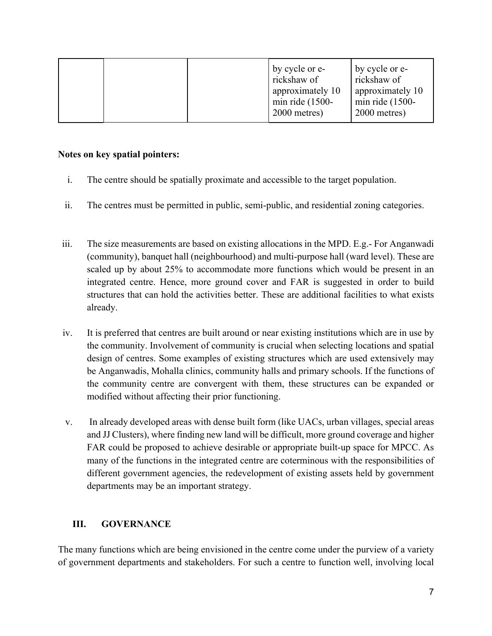|  | by cycle or e-<br>rickshaw of<br>approximately 10<br>min ride $(1500 -$<br>2000 metres) | by cycle or e-<br>rickshaw of<br>approximately 10<br>min ride $(1500 -$<br>2000 metres) |
|--|-----------------------------------------------------------------------------------------|-----------------------------------------------------------------------------------------|
|--|-----------------------------------------------------------------------------------------|-----------------------------------------------------------------------------------------|

#### **Notes on key spatial pointers:**

- i. The centre should be spatially proximate and accessible to the target population.
- ii. The centres must be permitted in public, semi-public, and residential zoning categories.
- iii. The size measurements are based on existing allocations in the MPD. E.g.- For Anganwadi (community), banquet hall (neighbourhood) and multi-purpose hall (ward level). These are scaled up by about 25% to accommodate more functions which would be present in an integrated centre. Hence, more ground cover and FAR is suggested in order to build structures that can hold the activities better. These are additional facilities to what exists already.
- iv. It is preferred that centres are built around or near existing institutions which are in use by the community. Involvement of community is crucial when selecting locations and spatial design of centres. Some examples of existing structures which are used extensively may be Anganwadis, Mohalla clinics, community halls and primary schools. If the functions of the community centre are convergent with them, these structures can be expanded or modified without affecting their prior functioning.
- v. In already developed areas with dense built form (like UACs, urban villages, special areas and JJ Clusters), where finding new land will be difficult, more ground coverage and higher FAR could be proposed to achieve desirable or appropriate built-up space for MPCC. As many of the functions in the integrated centre are coterminous with the responsibilities of different government agencies, the redevelopment of existing assets held by government departments may be an important strategy.

#### **III. GOVERNANCE**

The many functions which are being envisioned in the centre come under the purview of a variety of government departments and stakeholders. For such a centre to function well, involving local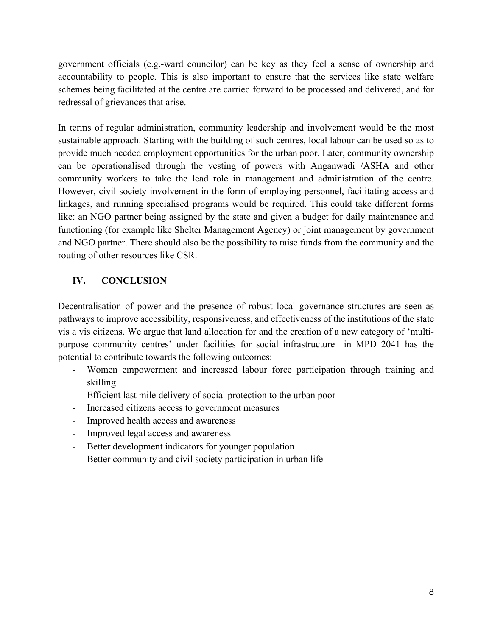government officials (e.g.-ward councilor) can be key as they feel a sense of ownership and accountability to people. This is also important to ensure that the services like state welfare schemes being facilitated at the centre are carried forward to be processed and delivered, and for redressal of grievances that arise.

In terms of regular administration, community leadership and involvement would be the most sustainable approach. Starting with the building of such centres, local labour can be used so as to provide much needed employment opportunities for the urban poor. Later, community ownership can be operationalised through the vesting of powers with Anganwadi /ASHA and other community workers to take the lead role in management and administration of the centre. However, civil society involvement in the form of employing personnel, facilitating access and linkages, and running specialised programs would be required. This could take different forms like: an NGO partner being assigned by the state and given a budget for daily maintenance and functioning (for example like Shelter Management Agency) or joint management by government and NGO partner. There should also be the possibility to raise funds from the community and the routing of other resources like CSR.

#### **IV. CONCLUSION**

Decentralisation of power and the presence of robust local governance structures are seen as pathways to improve accessibility, responsiveness, and effectiveness of the institutions of the state vis a vis citizens. We argue that land allocation for and the creation of a new category of 'multipurpose community centres' under facilities for social infrastructure in MPD 2041 has the potential to contribute towards the following outcomes:

- Women empowerment and increased labour force participation through training and skilling
- Efficient last mile delivery of social protection to the urban poor
- Increased citizens access to government measures
- Improved health access and awareness
- Improved legal access and awareness
- Better development indicators for younger population
- Better community and civil society participation in urban life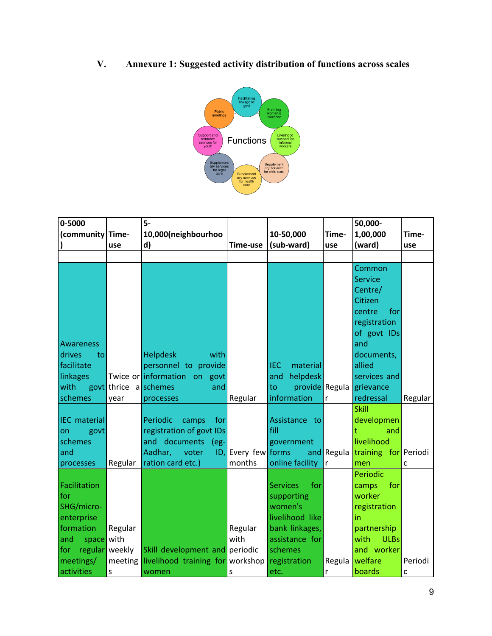**V. Annexure 1: Suggested activity distribution of functions across scales**



| 0-5000                |                       | $5-$                                     |                 |                        |              | 50,000-              |         |
|-----------------------|-----------------------|------------------------------------------|-----------------|------------------------|--------------|----------------------|---------|
| (community Time-      |                       | 10,000(neighbourhoo                      |                 | 10-50,000              | Time-        | 1,00,000             | Time-   |
|                       | use                   | d)                                       | Time-use        | (sub-ward)             | use          | (ward)               | use     |
|                       |                       |                                          |                 |                        |              |                      |         |
|                       |                       |                                          |                 |                        |              | Common               |         |
|                       |                       |                                          |                 |                        |              | <b>Service</b>       |         |
|                       |                       |                                          |                 |                        |              | Centre/              |         |
|                       |                       |                                          |                 |                        |              | Citizen              |         |
|                       |                       |                                          |                 |                        |              | centre<br>for        |         |
|                       |                       |                                          |                 |                        |              | registration         |         |
|                       |                       |                                          |                 |                        |              | of govt IDs          |         |
| <b>Awareness</b>      |                       |                                          |                 |                        |              | and                  |         |
| drives<br>to          |                       | <b>Helpdesk</b><br>with                  |                 |                        |              | documents,           |         |
| facilitate            |                       | personnel to provide                     |                 | <b>IEC</b><br>material |              | allied               |         |
| linkages              |                       | Twice or information on govt             |                 | helpdesk<br>and        |              | services and         |         |
| with                  | govt thrice a schemes | and                                      |                 | provide Regula<br>to   |              | grievance            |         |
| schemes               | year                  | processes                                | Regular         | information            | $\mathsf{r}$ | redressal            | Regular |
|                       |                       |                                          |                 |                        |              | <b>Skill</b>         |         |
| <b>IEC</b> material   |                       | Periodic<br>camps<br>for                 |                 | Assistance to          |              | developmen           |         |
| on<br>govt            |                       | registration of govt IDs                 |                 | fill                   |              | t<br>and             |         |
| schemes               |                       | and documents<br>(eg-                    |                 | government             |              | livelihood           |         |
| and                   |                       | Aadhar,<br>voter<br>ID,                  | Every few forms |                        | and Regula   | training for Periodi |         |
| processes             | Regular               | ration card etc.)                        | months          | online facility        | $\mathsf{r}$ | men                  | C       |
|                       |                       |                                          |                 |                        |              | Periodic             |         |
| Facilitation          |                       |                                          |                 | <b>Services</b><br>for |              | for<br>camps         |         |
| for                   |                       |                                          |                 | supporting             |              | worker               |         |
| SHG/micro-            |                       |                                          |                 | women's                |              | registration         |         |
| enterprise            |                       |                                          |                 | livelihood like        |              | in                   |         |
| formation             | Regular               |                                          | Regular         | bank linkages,         |              | partnership          |         |
| space with<br>and     |                       |                                          | with            | assistance for         |              | <b>ULBs</b><br>with  |         |
| regular weekly<br>for |                       | Skill development and periodic           |                 | schemes                |              | and worker           |         |
| meetings/             |                       | meeting livelihood training for workshop |                 | registration           | Regula       | welfare              | Periodi |
| activities            | $\sf S$               | women                                    | S               | etc.                   | $\mathsf{r}$ | boards               | c       |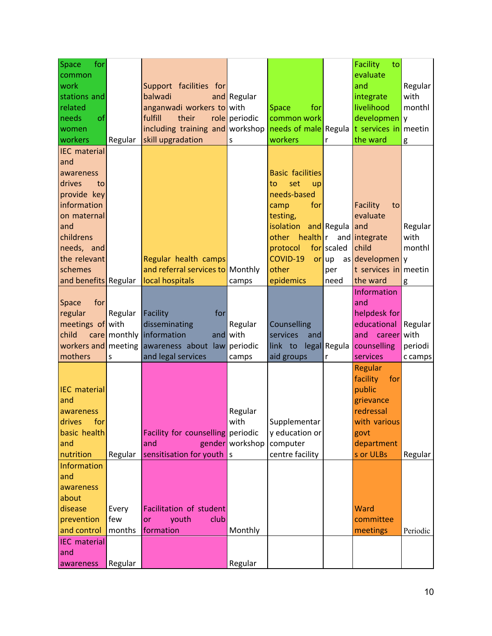| Space<br>for         |         |                                   |                 |                         |            | <b>Facility</b><br>to |          |
|----------------------|---------|-----------------------------------|-----------------|-------------------------|------------|-----------------------|----------|
| common               |         |                                   |                 |                         |            | evaluate              |          |
| work                 |         | Support facilities for            |                 |                         |            | and                   | Regular  |
| stations and         |         | balwadi                           | and Regular     |                         |            | integrate             | with     |
| related              |         | anganwadi workers to with         |                 | for<br>Space            |            | livelihood            | monthl   |
| of<br>needs          |         | fulfill<br>their                  | role periodic   | common work             |            | developmen            | y        |
| women                |         | including training and workshop   |                 | needs of male Regula    |            | t services in         | meetin   |
| workers              | Regular | skill upgradation                 | S               | workers                 | r          | the ward              | g        |
| <b>IEC</b> material  |         |                                   |                 |                         |            |                       |          |
| and                  |         |                                   |                 |                         |            |                       |          |
| awareness            |         |                                   |                 | <b>Basic facilities</b> |            |                       |          |
| drives<br>to         |         |                                   |                 | set<br>to<br>up         |            |                       |          |
| provide key          |         |                                   |                 | needs-based             |            |                       |          |
| information          |         |                                   |                 | for<br>camp             |            | Facility<br>to        |          |
| on maternal          |         |                                   |                 | testing,                |            | evaluate              |          |
| and                  |         |                                   |                 | isolation               | and Regula | land                  | Regular  |
| childrens            |         |                                   |                 | health r<br>other       |            | and integrate         | with     |
| needs, and           |         |                                   |                 | protocol                | for scaled | child                 | monthl   |
| the relevant         |         | Regular health camps              |                 | COVID-19                | or up      | as developmen         | y        |
| schemes              |         | and referral services to Monthly  |                 | other                   | per        | t services in         | meetin   |
| and benefits Regular |         | local hospitals                   | camps           | epidemics               | need       | the ward              | g        |
|                      |         |                                   |                 |                         |            | Information           |          |
| for<br>Space         |         |                                   |                 |                         |            | and                   |          |
| regular              | Regular | Facility<br>for                   |                 |                         |            | helpdesk for          |          |
| meetings of with     |         | disseminating                     | Regular         | Counselling             |            | educational           | Regular  |
| child                |         | care monthly information          | and with        | services<br>and         |            | and career            | with     |
| workers and meeting  |         | awareness about law periodic      |                 | link to legal Regula    |            | counselling           | periodi  |
| mothers              | S       | and legal services                | camps           | aid groups              | r          | services              | c camps  |
|                      |         |                                   |                 |                         |            | Regular               |          |
|                      |         |                                   |                 |                         |            | facility<br>for       |          |
| <b>IEC</b> material  |         |                                   |                 |                         |            | public                |          |
| and                  |         |                                   |                 |                         |            | grievance             |          |
| awareness            |         |                                   | Regular         |                         |            | redressal             |          |
| drives<br>for        |         |                                   | with            | Supplementar            |            | with various          |          |
| basic health         |         | Facility for counselling periodic |                 | y education or          |            | govt                  |          |
| and                  |         | and                               | gender workshop | computer                |            | department            |          |
| nutrition            | Regular | sensitisation for youth $ s $     |                 | centre facility         |            | s or ULBs             | Regular  |
| Information          |         |                                   |                 |                         |            |                       |          |
| and                  |         |                                   |                 |                         |            |                       |          |
| awareness            |         |                                   |                 |                         |            |                       |          |
| about                |         |                                   |                 |                         |            |                       |          |
| disease              | Every   | Facilitation of student           |                 |                         |            | Ward                  |          |
| prevention           | few     | club<br>youth<br>or               |                 |                         |            | committee             |          |
| and control          | months  | formation                         | Monthly         |                         |            | meetings              | Periodic |
| <b>IEC</b> material  |         |                                   |                 |                         |            |                       |          |
| and                  |         |                                   |                 |                         |            |                       |          |
| awareness            | Regular |                                   | Regular         |                         |            |                       |          |